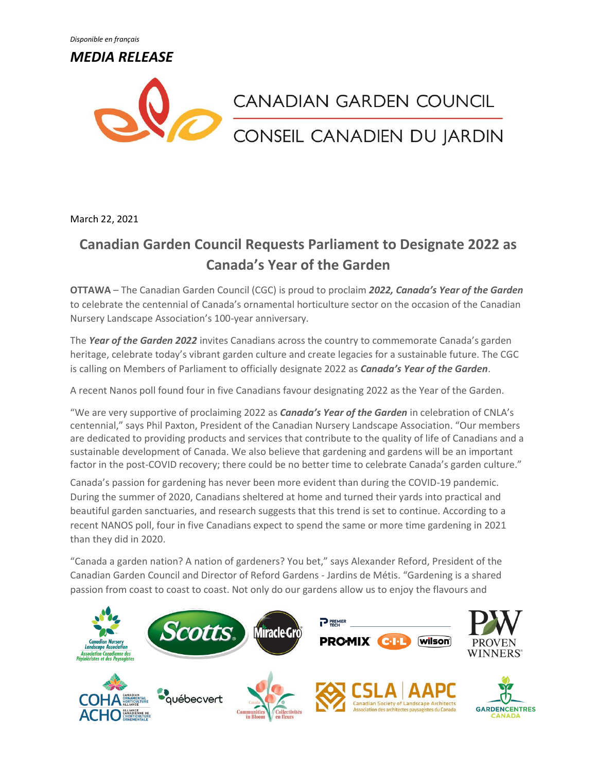*Disponible en français*

*MEDIA RELEASE*



March 22, 2021

## **Canadian Garden Council Requests Parliament to Designate 2022 as Canada's Year of the Garden**

**OTTAWA** – The Canadian Garden Council (CGC) is proud to proclaim *2022, Canada's Year of the Garden* to celebrate the centennial of Canada's ornamental horticulture sector on the occasion of the Canadian Nursery Landscape Association's 100-year anniversary.

The *Year of the Garden 2022* invites Canadians across the country to commemorate Canada's garden heritage, celebrate today's vibrant garden culture and create legacies for a sustainable future. The CGC is calling on Members of Parliament to officially designate 2022 as *Canada's Year of the Garden*.

A recent Nanos poll found four in five Canadians favour designating 2022 as the Year of the Garden.

"We are very supportive of proclaiming 2022 as *Canada's Year of the Garden* in celebration of CNLA's centennial," says Phil Paxton, President of the Canadian Nursery Landscape Association. "Our members are dedicated to providing products and services that contribute to the quality of life of Canadians and a sustainable development of Canada. We also believe that gardening and gardens will be an important factor in the post-COVID recovery; there could be no better time to celebrate Canada's garden culture."

Canada's passion for gardening has never been more evident than during the COVID-19 pandemic. During the summer of 2020, Canadians sheltered at home and turned their yards into practical and beautiful garden sanctuaries, and research suggests that this trend is set to continue. According to a recent NANOS poll, four in five Canadians expect to spend the same or more time gardening in 2021 than they did in 2020.

"Canada a garden nation? A nation of gardeners? You bet," says Alexander Reford, President of the Canadian Garden Council and Director of Reford Gardens - Jardins de Métis. "Gardening is a shared passion from coast to coast to coast. Not only do our gardens allow us to enjoy the flavours and